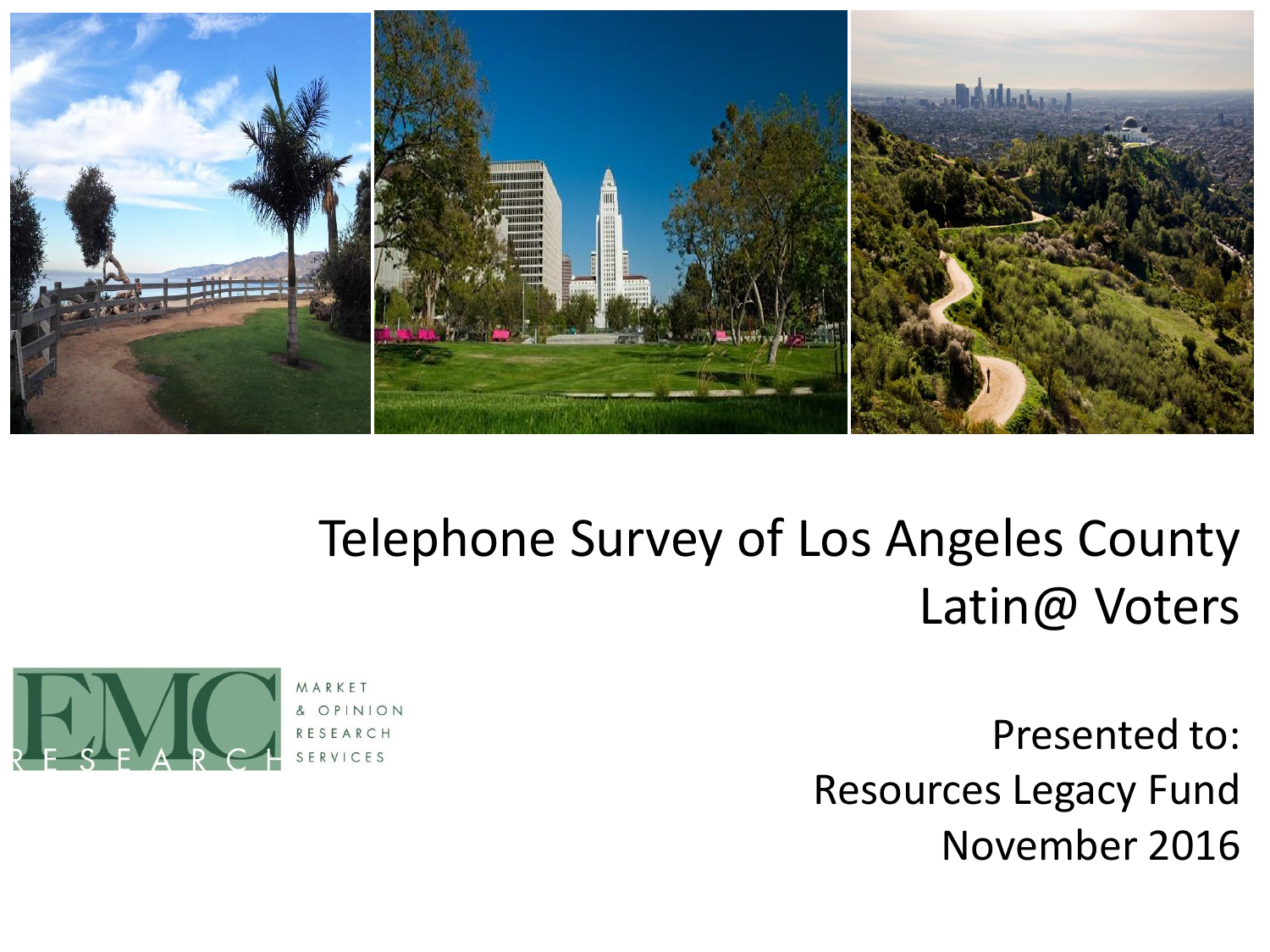

### Telephone Survey of Los Angeles County Latin@ Voters

Presented to: Resources Legacy Fund November 2016

ARKFT & OPINION RESEARCH ERVICES

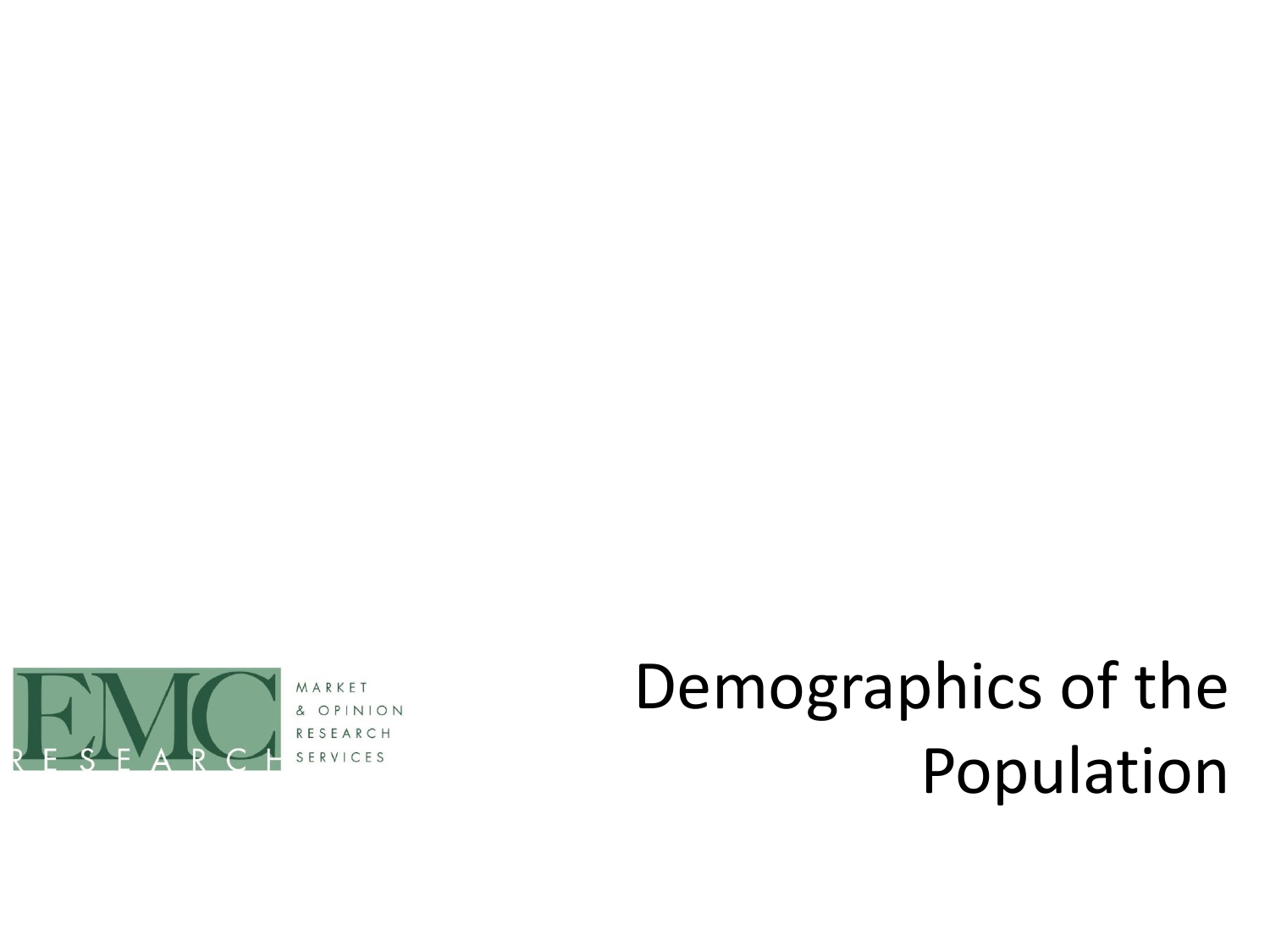

NION  $OP$ 

# Demographics of the Population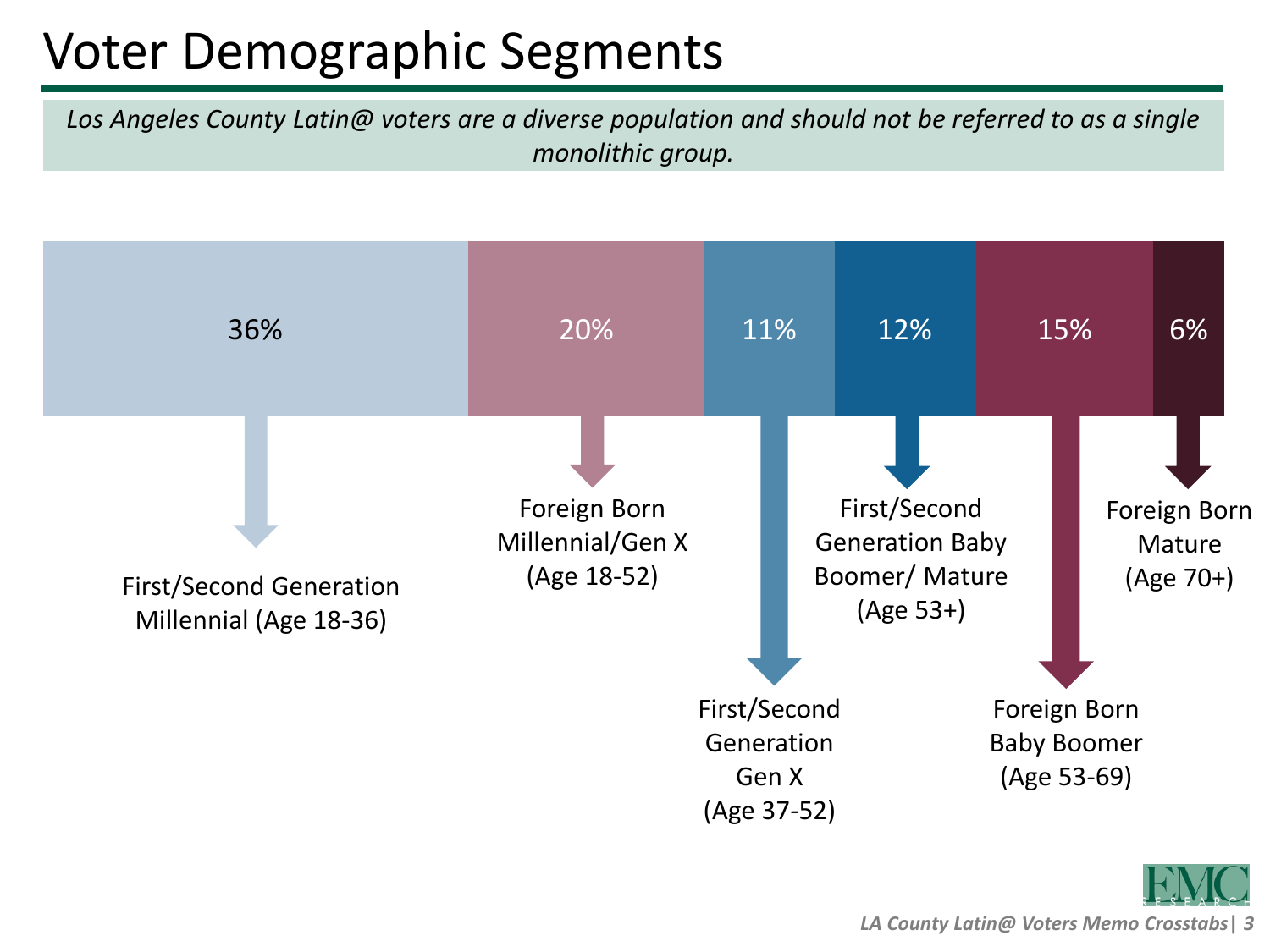# Voter Demographic Segments

*Los Angeles County Latin@ voters are a diverse population and should not be referred to as a single monolithic group.*

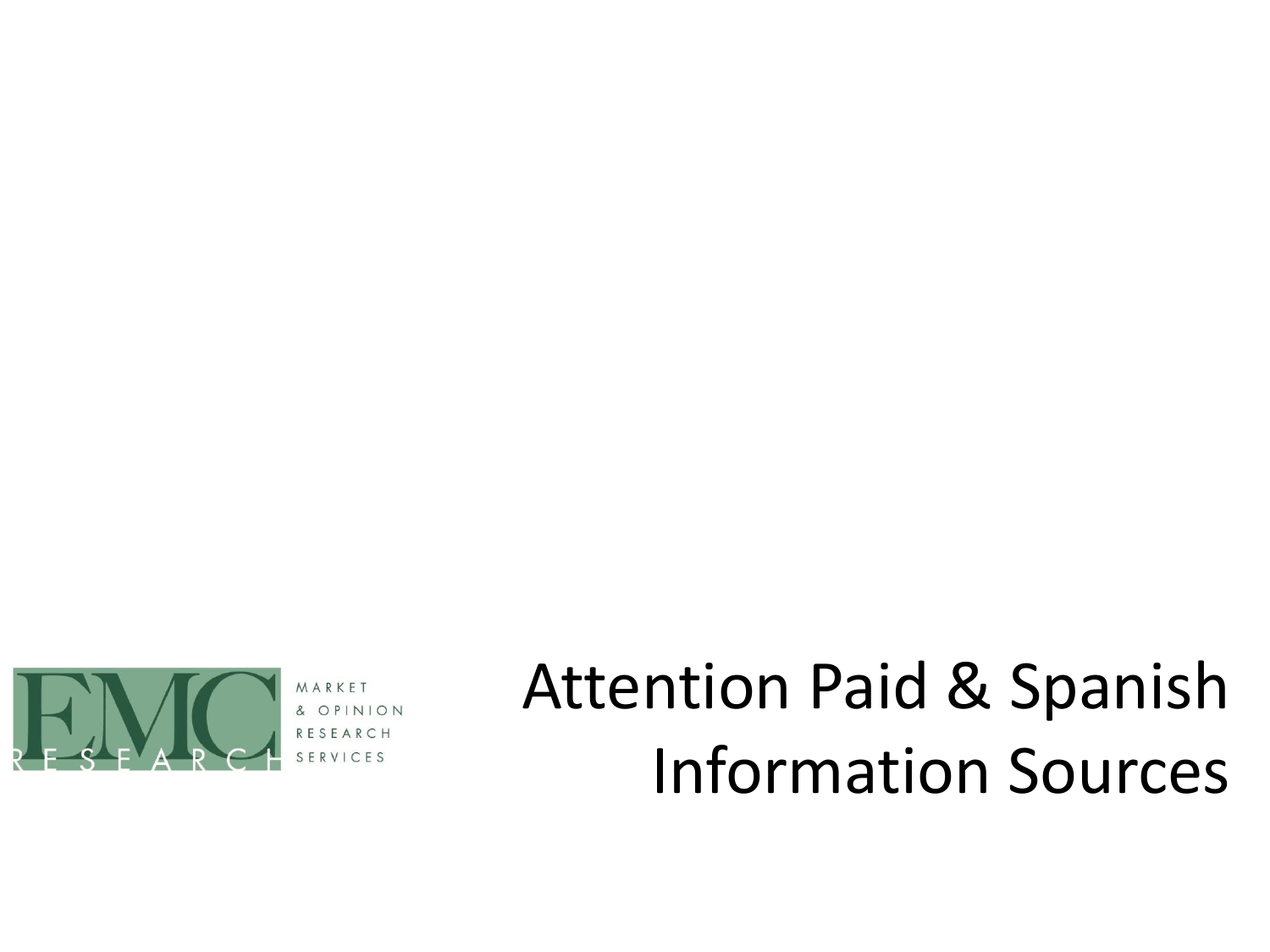

# Attention Paid & Spanish Information Sources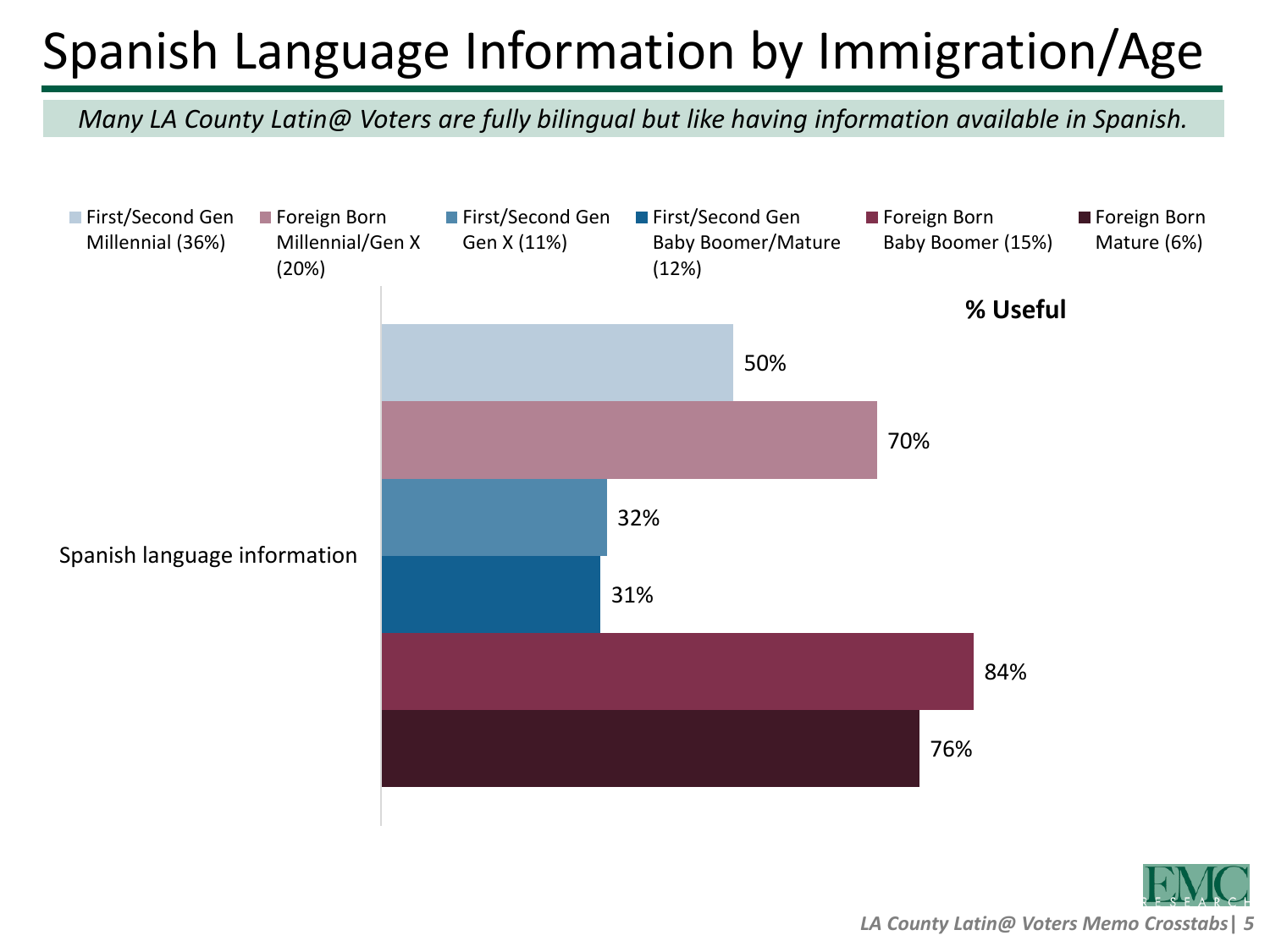# Spanish Language Information by Immigration/Age

*Many LA County Latin@ Voters are fully bilingual but like having information available in Spanish.*

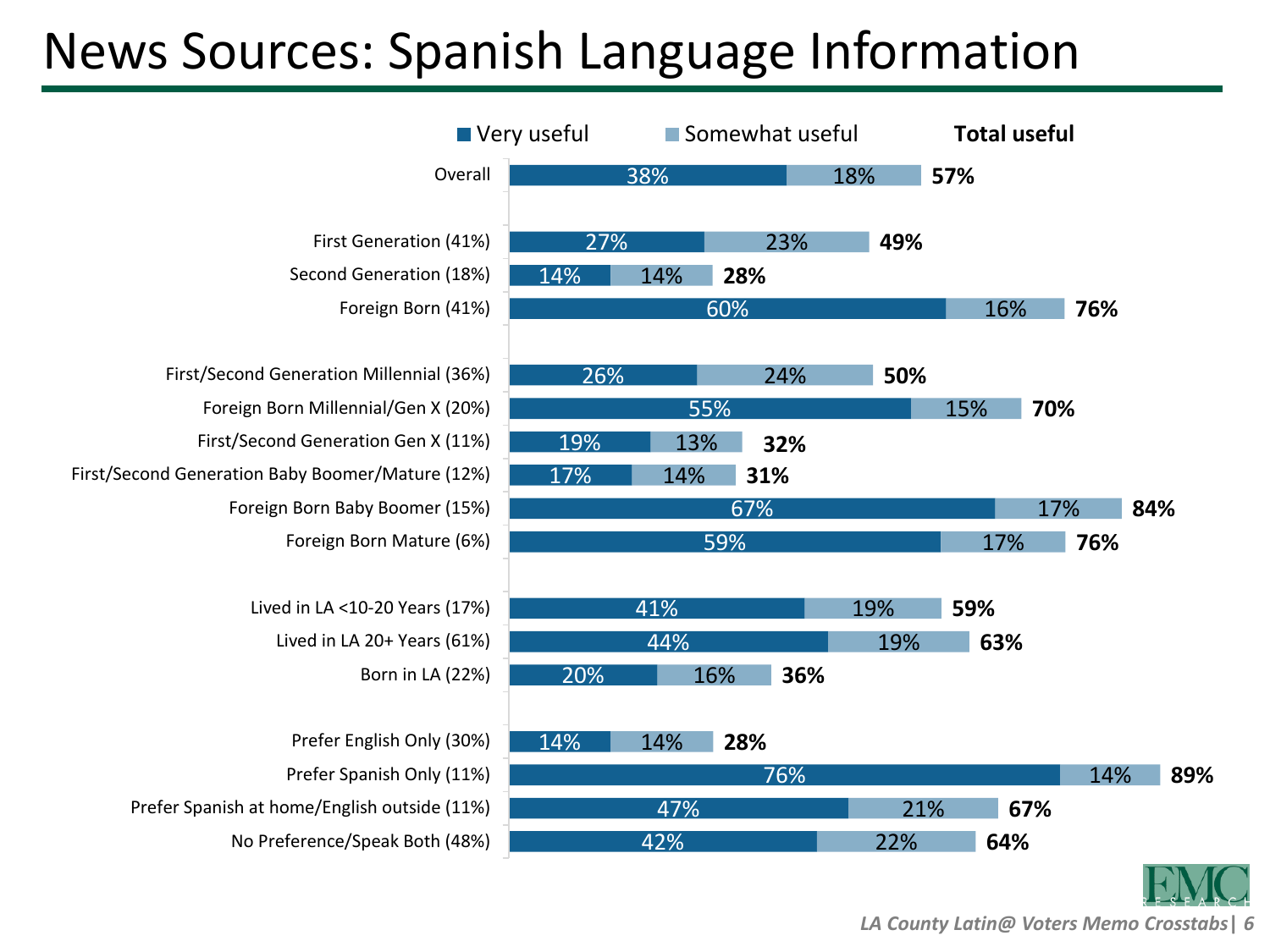#### News Sources: Spanish Language Information

| Very useful                                      |     |     | Somewhat useful |     | <b>Total useful</b> |     |     |
|--------------------------------------------------|-----|-----|-----------------|-----|---------------------|-----|-----|
| Overall                                          |     | 38% |                 | 18% | 57%                 |     |     |
|                                                  |     |     |                 |     |                     |     |     |
| First Generation (41%)                           | 27% |     | 23%             | 49% |                     |     |     |
| Second Generation (18%)                          | 14% | 14% | 28%             |     |                     |     |     |
| Foreign Born (41%)                               |     | 60% |                 |     | 16%                 | 76% |     |
|                                                  |     |     |                 |     |                     |     |     |
| First/Second Generation Millennial (36%)         | 26% |     | 24%             | 50% |                     |     |     |
| Foreign Born Millennial/Gen X (20%)              |     | 55% |                 |     | 15%                 | 70% |     |
| First/Second Generation Gen X (11%)              | 19% | 13% | 32%             |     |                     |     |     |
| First/Second Generation Baby Boomer/Mature (12%) | 17% | 14% | 31%             |     |                     |     |     |
| Foreign Born Baby Boomer (15%)                   |     | 67% |                 |     |                     | 17% | 84% |
| Foreign Born Mature (6%)                         |     | 59% |                 |     | 17%                 | 76% |     |
|                                                  |     |     |                 |     |                     |     |     |
| Lived in LA <10-20 Years (17%)                   |     | 41% |                 | 19% | 59%                 |     |     |
| Lived in LA 20+ Years (61%)                      |     | 44% |                 | 19% | 63%                 |     |     |
| Born in LA (22%)                                 | 20% | 16% | 36%             |     |                     |     |     |
|                                                  |     |     |                 |     |                     |     |     |
| Prefer English Only (30%)                        | 14% | 14% | 28%             |     |                     |     |     |
| Prefer Spanish Only (11%)                        |     |     | 76%             |     |                     | 14% | 89% |
| Prefer Spanish at home/English outside (11%)     |     | 47% |                 | 21% | 67%                 |     |     |
| No Preference/Speak Both (48%)                   |     | 42% |                 | 22% | 64%                 |     |     |
|                                                  |     |     |                 |     |                     |     |     |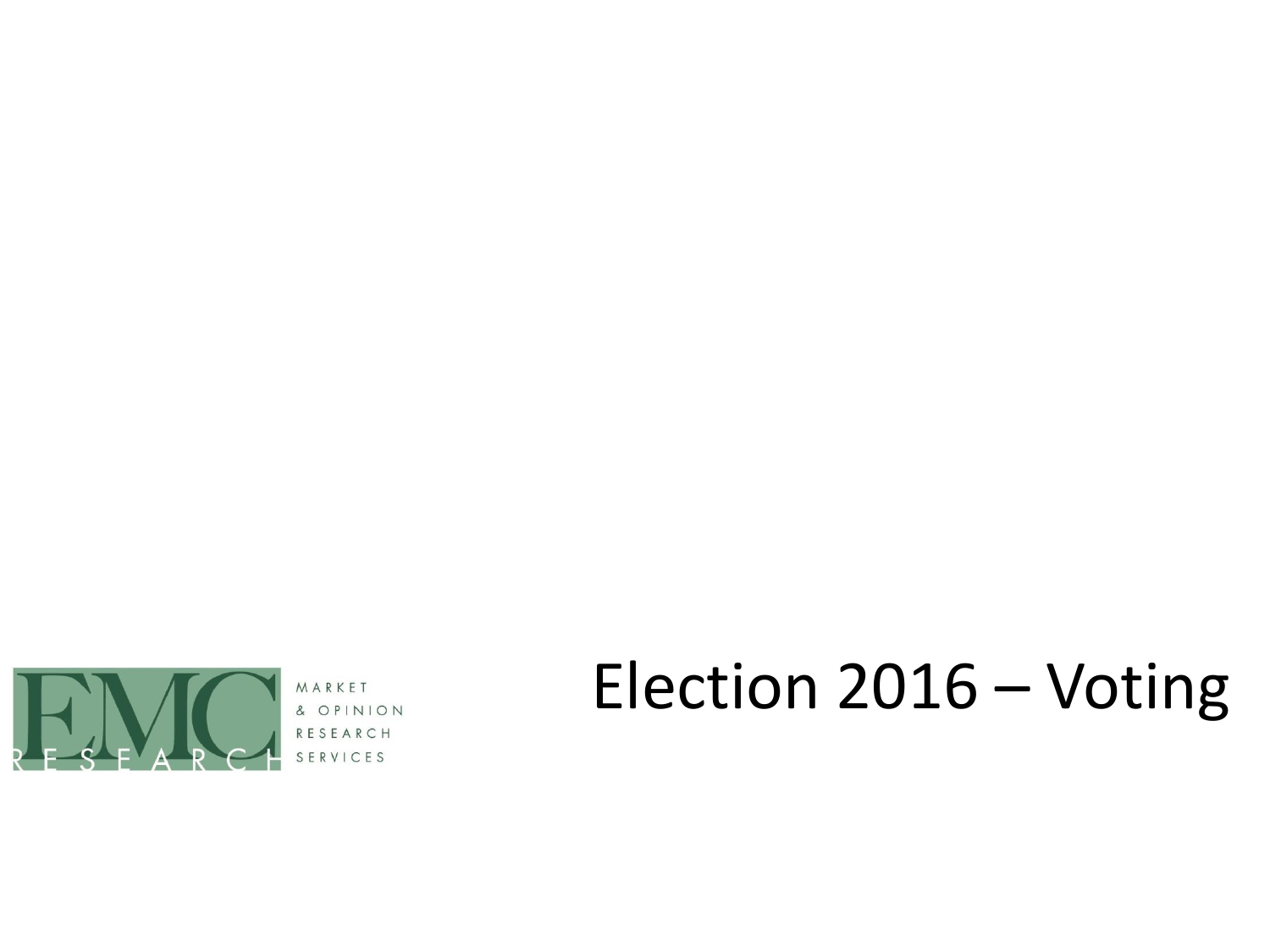

& OPINION RESEARCH VICES

# Election 2016 – Voting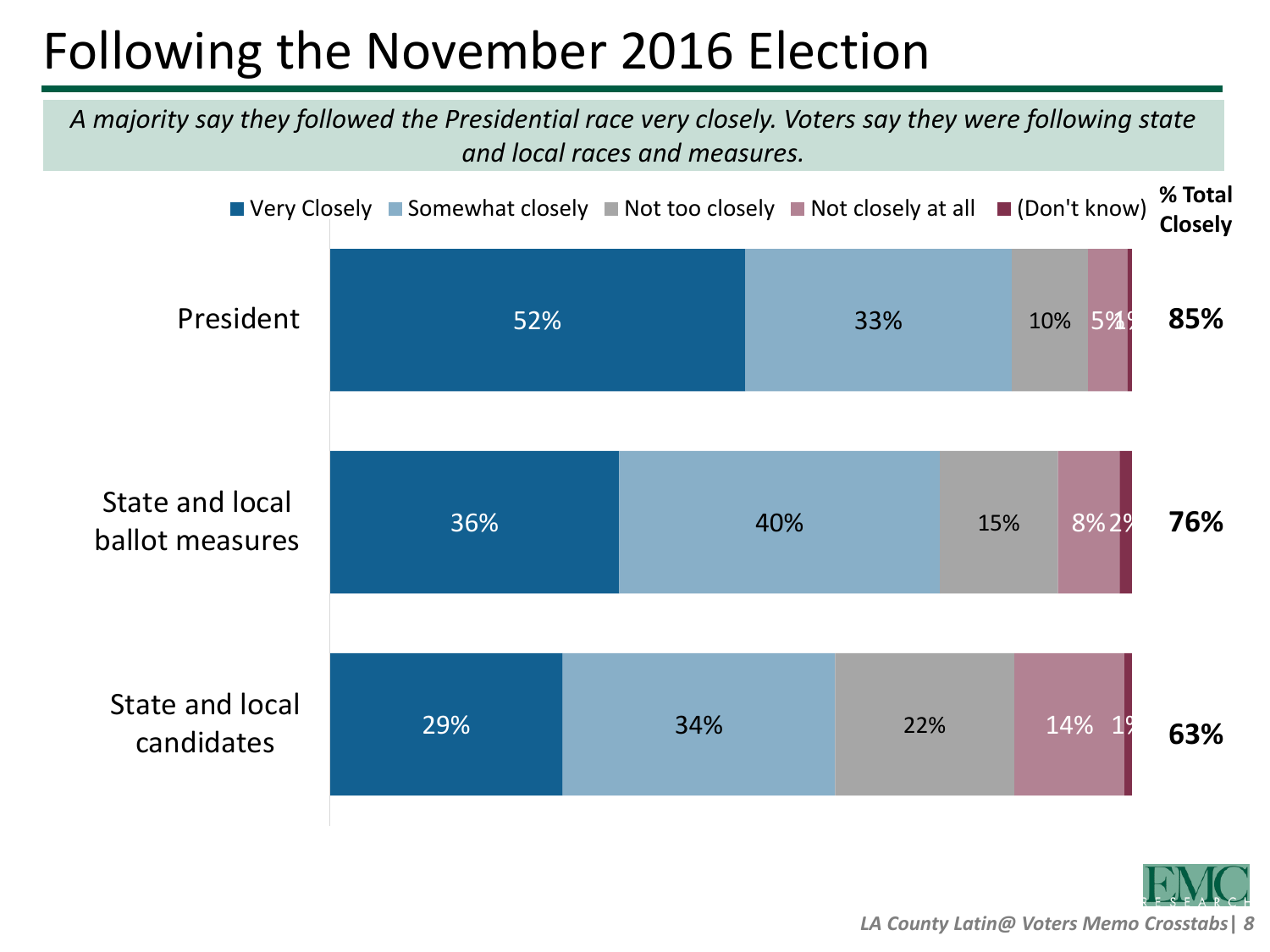# Following the November 2016 Election

*A majority say they followed the Presidential race very closely. Voters say they were following state and local races and measures.*

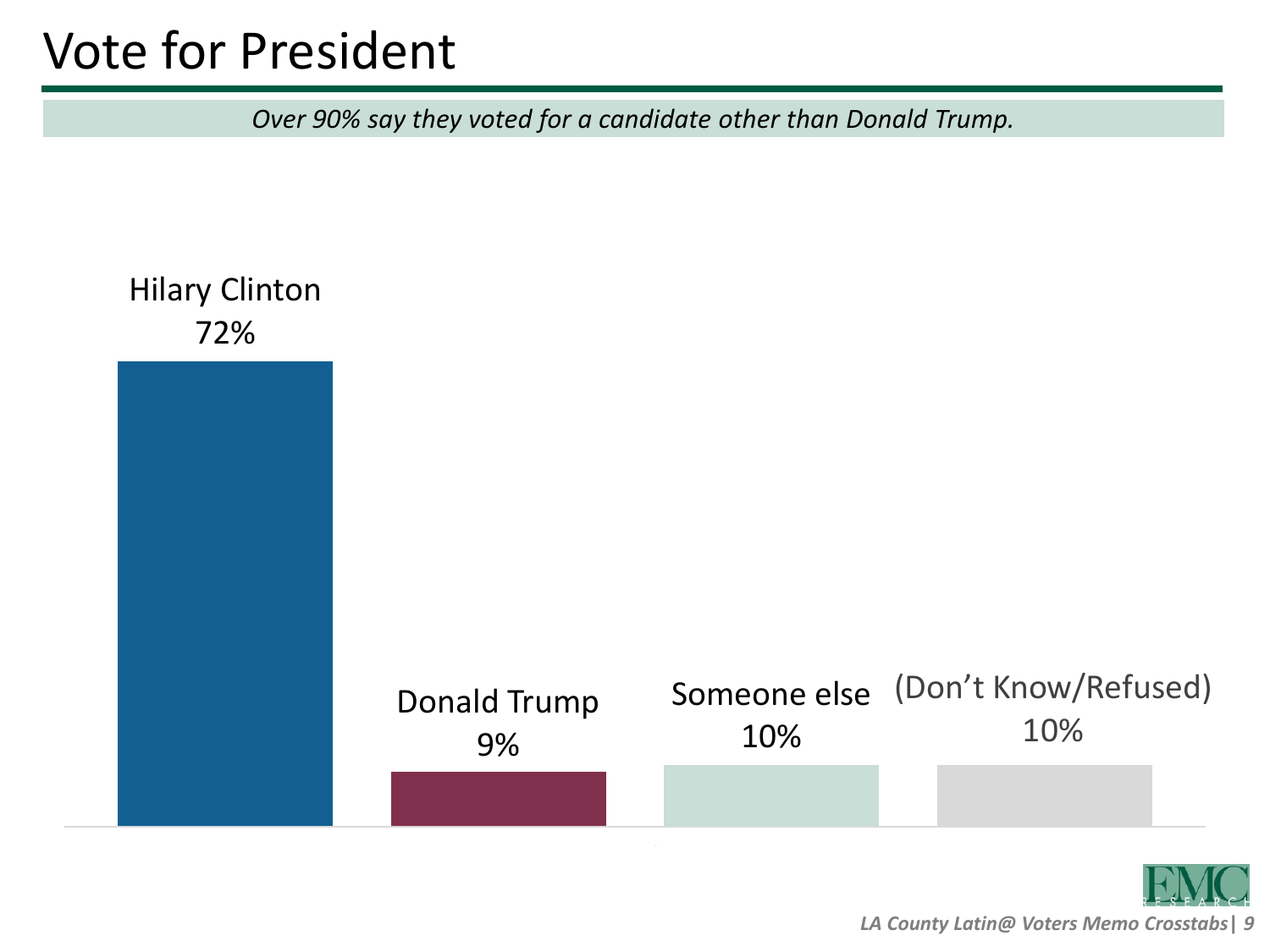### Vote for President

*Over 90% say they voted for a candidate other than Donald Trump.*

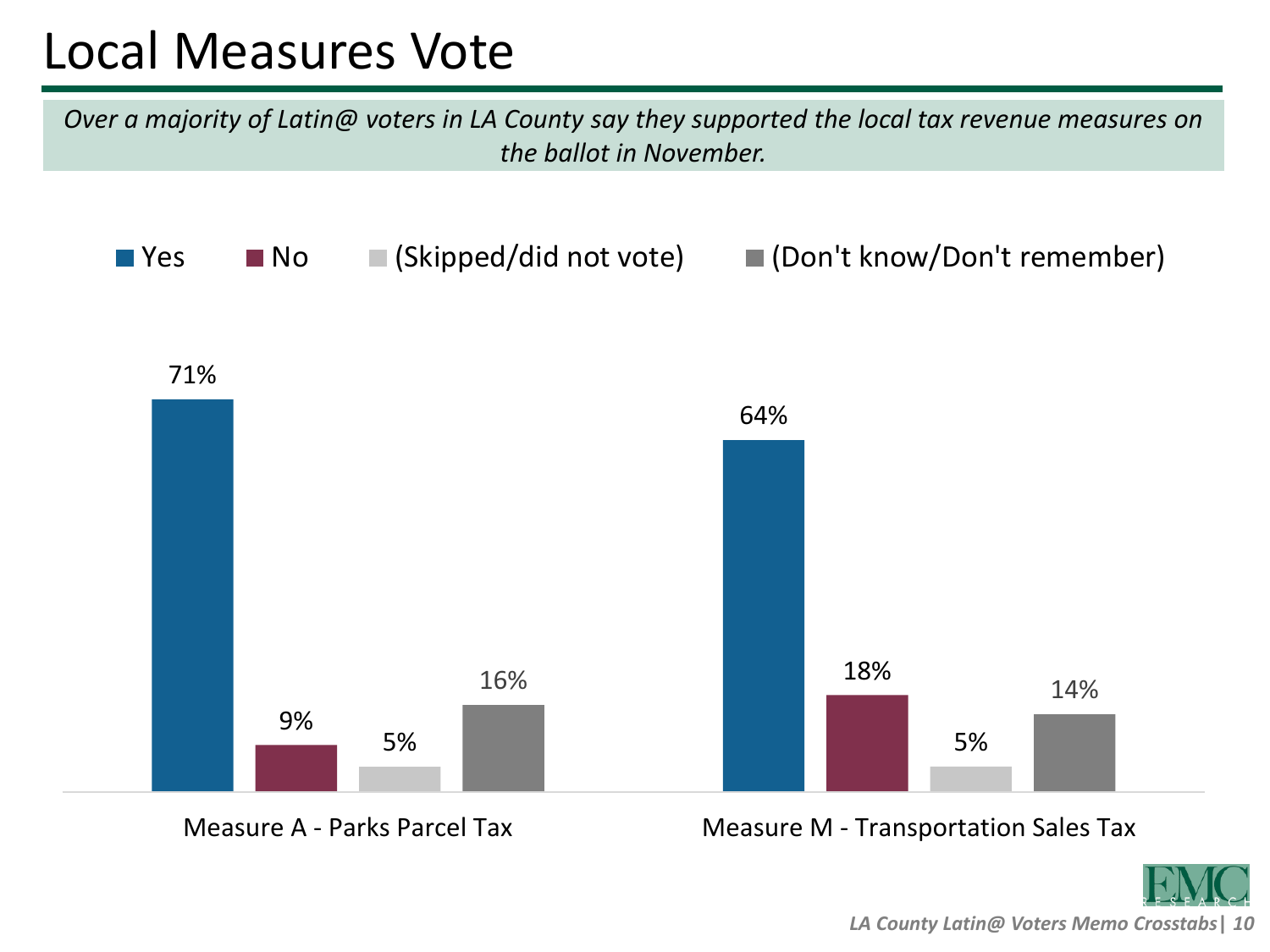#### Local Measures Vote

*Over a majority of Latin@ voters in LA County say they supported the local tax revenue measures on the ballot in November.*



Measure A - Parks Parcel Tax Measure M - Transportation Sales Tax

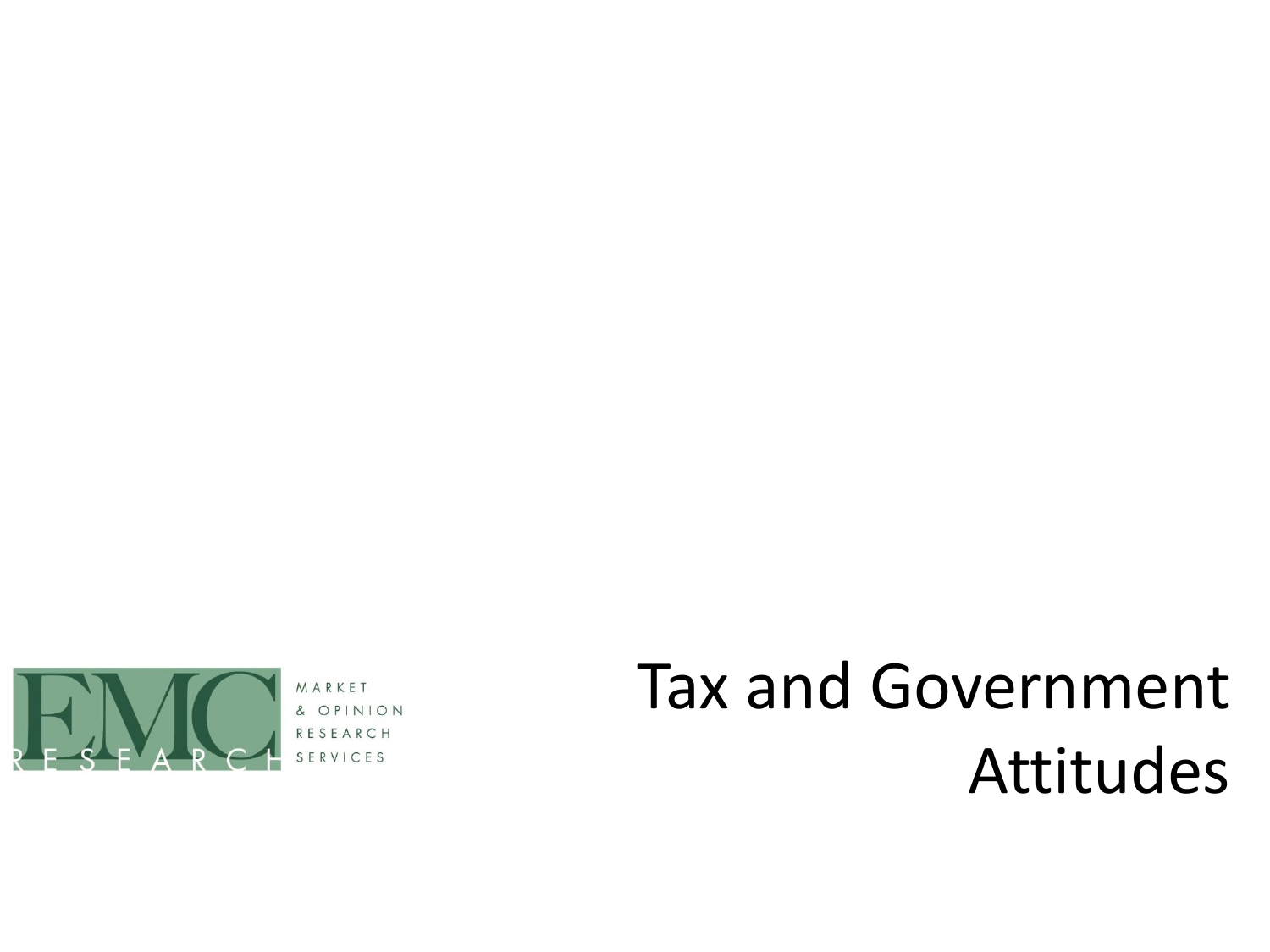

& OP

# Tax and Government Attitudes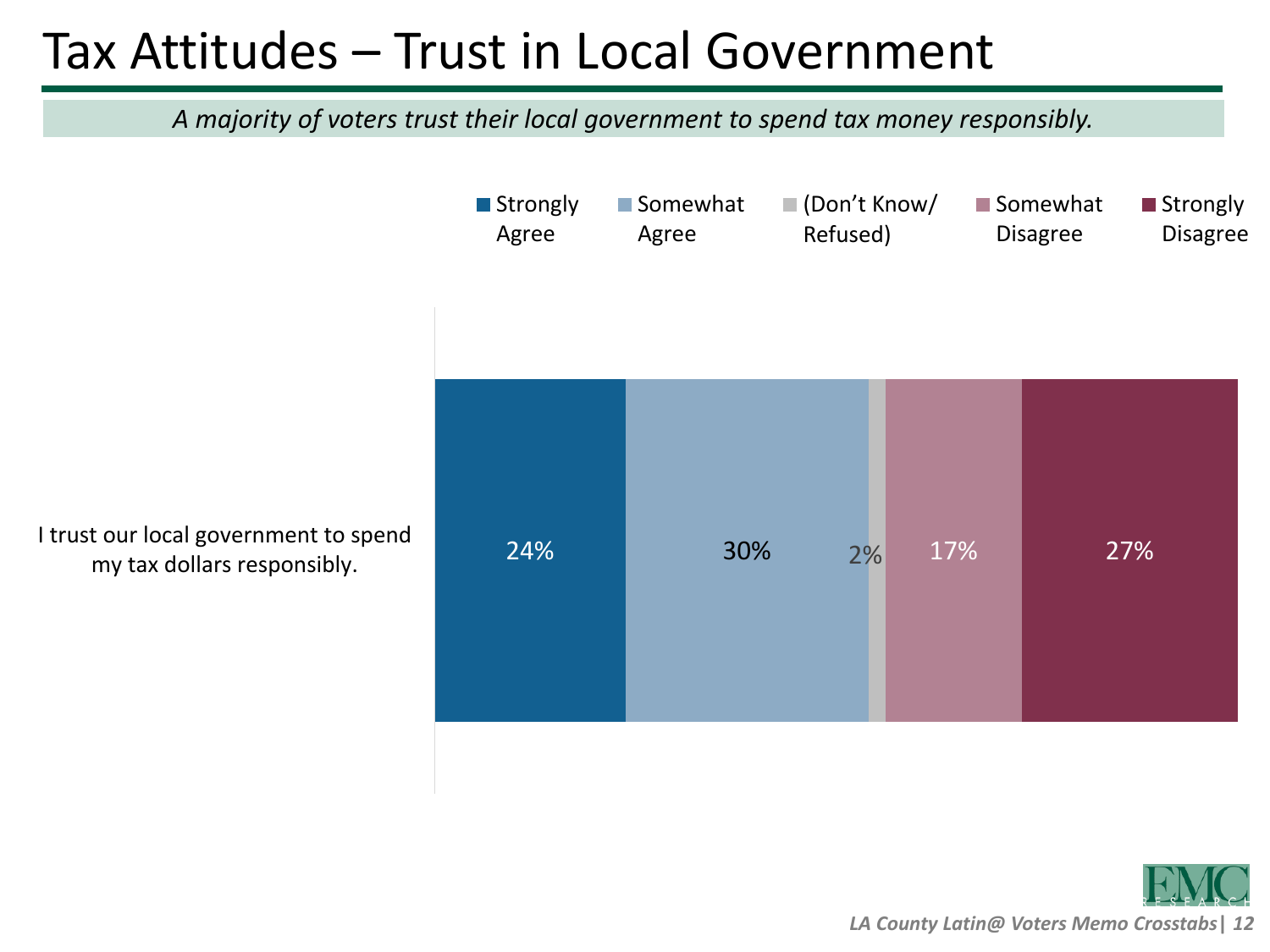#### Tax Attitudes – Trust in Local Government

*A majority of voters trust their local government to spend tax money responsibly.*

I trust our local government to spend<br>
24% 27% 27% 27% 27% 27% 27% 27% 27% ■ Strongly Agree ■ Somewhat Agree (Don't Know/ Refused) ■ Somewhat Disagree ■ Strongly Disagree

my tax dollars responsibly.

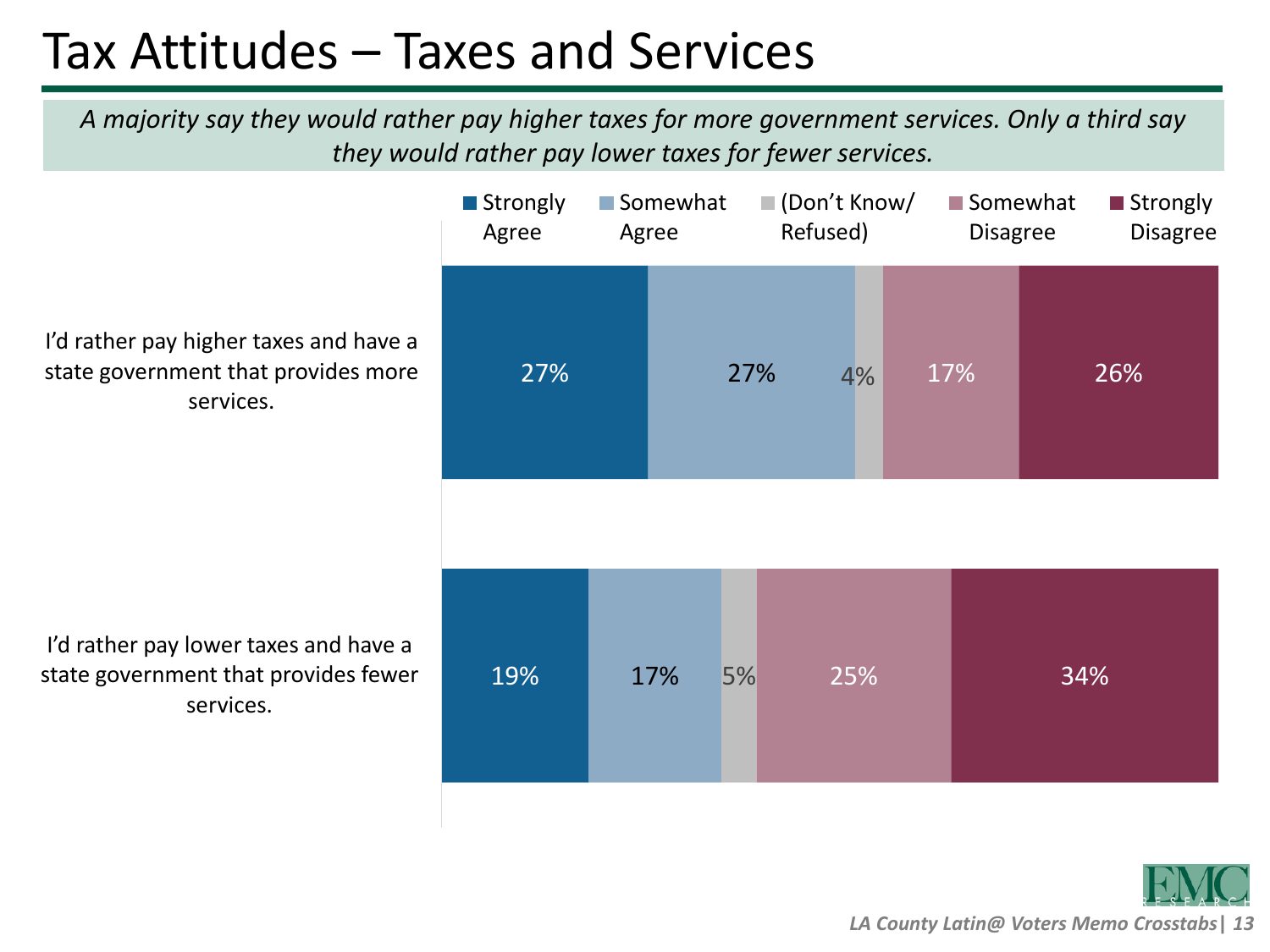### Tax Attitudes – Taxes and Services

*A majority say they would rather pay higher taxes for more government services. Only a third say they would rather pay lower taxes for fewer services.*

I'd rather pay higher taxes and have a state government that provides more services.

I'd rather pay lower taxes and have a state government that provides fewer services.